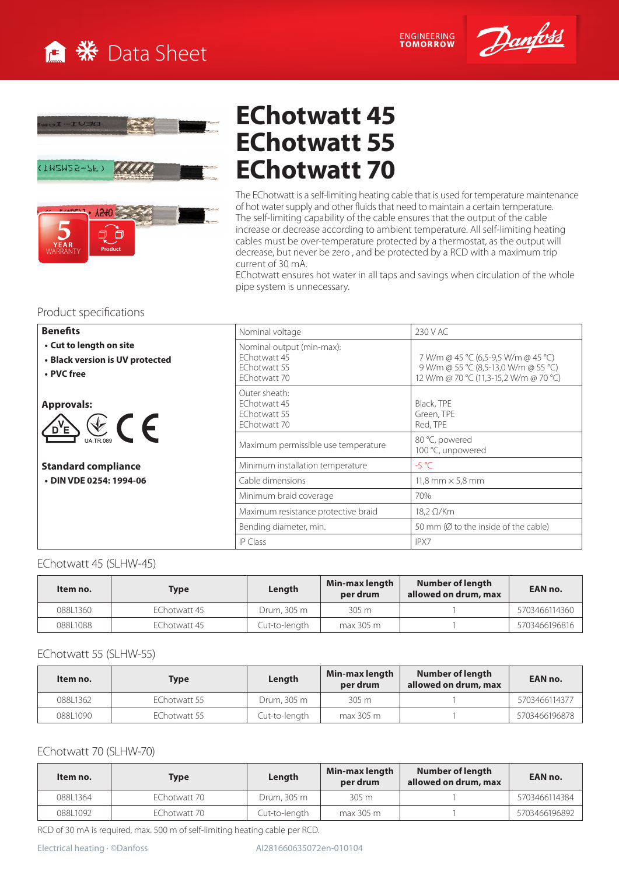

ENGINEERING<br>TOMORROW







# **EChotwatt 45 EChotwatt 55 EChotwatt 70**

The EChotwatt is a self-limiting heating cable that is used for temperature maintenance of hot water supply and other fluids that need to maintain a certain temperature. The self-limiting capability of the cable ensures that the output of the cable increase or decrease according to ambient temperature. All self-limiting heating cables must be over-temperature protected by a thermostat, as the output will decrease, but never be zero , and be protected by a RCD with a maximum trip current of 30 mA.

EChotwatt ensures hot water in all taps and savings when circulation of the whole pipe system is unnecessary.

## Product specifications

| <b>Benefits</b>                                                          | Nominal voltage                                                           | 230 V AC                                                                                                              |  |  |  |  |
|--------------------------------------------------------------------------|---------------------------------------------------------------------------|-----------------------------------------------------------------------------------------------------------------------|--|--|--|--|
| • Cut to length on site<br>• Black version is UV protected<br>• PVC free | Nominal output (min-max):<br>EChotwatt 45<br>EChotwatt 55<br>EChotwatt 70 | 7 W/m @ 45 °C (6,5-9,5 W/m @ 45 °C)<br>9 W/m @ 55 °C (8,5-13,0 W/m @ 55 °C)<br>12 W/m @ 70 °C (11,3-15,2 W/m @ 70 °C) |  |  |  |  |
| <b>Approvals:</b><br>$\sum_{\text{max}}$<br>$\sqrt{D'E}$                 | Outer sheath:<br>FChotwatt 45<br>EChotwatt 55<br>EChotwatt 70             | Black, TPE<br>Green, TPE<br>Red, TPE                                                                                  |  |  |  |  |
|                                                                          | Maximum permissible use temperature                                       | 80 °C, powered<br>100 °C, unpowered                                                                                   |  |  |  |  |
| <b>Standard compliance</b>                                               | Minimum installation temperature                                          | $-5$ °C                                                                                                               |  |  |  |  |
| • DIN VDE 0254: 1994-06                                                  | Cable dimensions                                                          | 11,8 mm $\times$ 5,8 mm                                                                                               |  |  |  |  |
|                                                                          | Minimum braid coverage                                                    | 70%                                                                                                                   |  |  |  |  |
|                                                                          | Maximum resistance protective braid                                       | $18.2 \Omega/Km$                                                                                                      |  |  |  |  |
|                                                                          | Bending diameter, min.                                                    | 50 mm (Ø to the inside of the cable)                                                                                  |  |  |  |  |
|                                                                          | <b>IP Class</b>                                                           | IPX7                                                                                                                  |  |  |  |  |

#### EChotwatt 45 (SLHW-45)

| Item no. | <b>Type</b>  | Length        | Min-max length<br>per drum | Number of length<br>allowed on drum, max | EAN no.       |  |
|----------|--------------|---------------|----------------------------|------------------------------------------|---------------|--|
| 08811360 | EChotwatt 45 | Drum, 305 m   | 305 m                      |                                          | 5703466114360 |  |
| 088L1088 | EChotwatt 45 | Cut-to-length | max 305 m                  |                                          | 5703466196816 |  |

#### EChotwatt 55 (SLHW-55)

| Item no. | <b>Type</b>  | Length        | Min-max length<br>per drum | Number of length<br>allowed on drum, max | EAN no.       |  |  |
|----------|--------------|---------------|----------------------------|------------------------------------------|---------------|--|--|
| 088L1362 | FChotwatt 55 | Drum, 305 m   | 305 m                      |                                          | 5703466114377 |  |  |
| 088L1090 | EChotwatt 55 | Cut-to-length | max 305 m                  |                                          | 5703466196878 |  |  |

#### EChotwatt 70 (SLHW-70)

| Item no. | Type         | Length        | Min-max length<br>per drum | Number of length<br>allowed on drum, max | EAN no.       |  |  |
|----------|--------------|---------------|----------------------------|------------------------------------------|---------------|--|--|
| 08811364 | EChotwatt 70 | Drum, 305 m   | 305 m                      |                                          | 5703466114384 |  |  |
| 088L1092 | EChotwatt 70 | Cut-to-length | max 305 m                  |                                          | 5703466196892 |  |  |

RCD of 30 mA is required, max. 500 m of self-limiting heating cable per RCD.